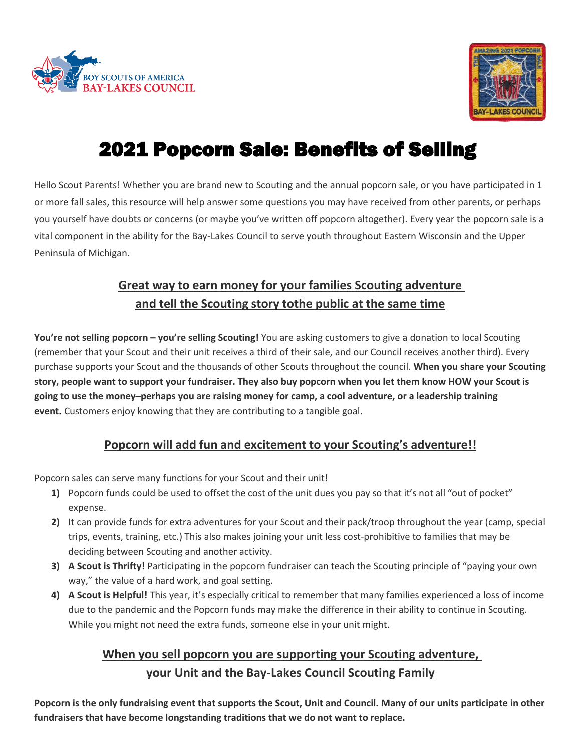



# 2021 Popcorn Sale: Benefits of Selling

Hello Scout Parents! Whether you are brand new to Scouting and the annual popcorn sale, or you have participated in 1 or more fall sales, this resource will help answer some questions you may have received from other parents, or perhaps you yourself have doubts or concerns (or maybe you've written off popcorn altogether). Every year the popcorn sale is a vital component in the ability for the Bay-Lakes Council to serve youth throughout Eastern Wisconsin and the Upper Peninsula of Michigan.

## **Great way to earn money for your families Scouting adventure and tell the Scouting story tothe public at the same time**

**You're not selling popcorn – you're selling Scouting!** You are asking customers to give a donation to local Scouting (remember that your Scout and their unit receives a third of their sale, and our Council receives another third). Every purchase supports your Scout and the thousands of other Scouts throughout the council. **When you share your Scouting story, people want to support your fundraiser. They also buy popcorn when you let them know HOW your Scout is** going to use the money-perhaps you are raising money for camp, a cool adventure, or a leadership training **event.** Customers enjoy knowing that they are contributing to a tangible goal.

### **Popcorn will add fun and excitement to your Scouting's adventure!!**

Popcorn sales can serve many functions for your Scout and their unit!

- **1)** Popcorn funds could be used to offset the cost of the unit dues you pay so that it's not all "out of pocket" expense.
- **2)** It can provide funds for extra adventures for your Scout and their pack/troop throughout the year (camp, special trips, events, training, etc.) This also makes joining your unit less cost-prohibitive to families that may be deciding between Scouting and another activity.
- **3) A Scout is Thrifty!** Participating in the popcorn fundraiser can teach the Scouting principle of "paying your own way," the value of a hard work, and goal setting.
- **4) A Scout is Helpful!** This year, it's especially critical to remember that many families experienced a loss of income due to the pandemic and the Popcorn funds may make the difference in their ability to continue in Scouting. While you might not need the extra funds, someone else in your unit might.

## **When you sell popcorn you are supporting your Scouting adventure, your Unit and the Bay-Lakes Council Scouting Family**

**Popcorn is the only fundraising event that supports the Scout, Unit and Council. Many of our units participate in other fundraisers that have become longstanding traditions that we do not want to replace.**